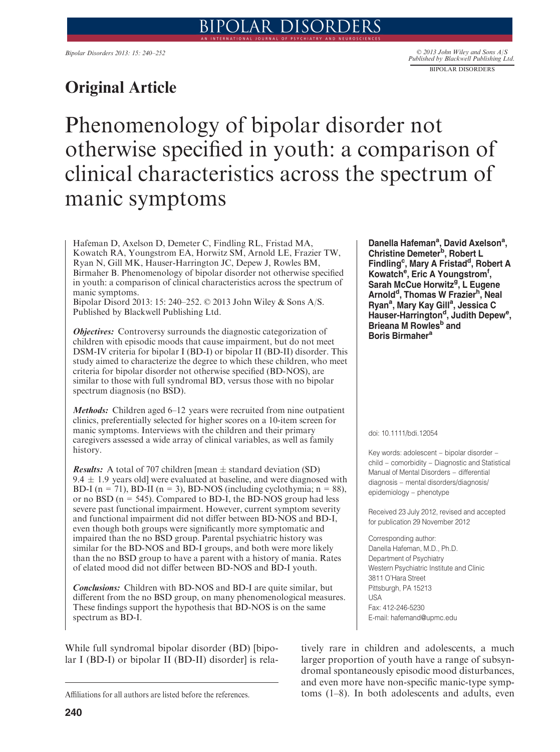# Original Article

Bipolar Disorders 2013: 15: 240–252 © 2013 John Wiley and Sons A/S Published by Blackwell Publishing Ltd. BIPOLAR DISORDERS

# Phenomenology of bipolar disorder not otherwise specified in youth: a comparison of clinical characteristics across the spectrum of manic symptoms

Hafeman D, Axelson D, Demeter C, Findling RL, Fristad MA, Kowatch RA, Youngstrom EA, Horwitz SM, Arnold LE, Frazier TW, Ryan N, Gill MK, Hauser-Harrington JC, Depew J, Rowles BM, Birmaher B. Phenomenology of bipolar disorder not otherwise specified in youth: a comparison of clinical characteristics across the spectrum of manic symptoms.

Bipolar Disord 2013: 15: 240–252. © 2013 John Wiley & Sons A/S. Published by Blackwell Publishing Ltd.

**Objectives:** Controversy surrounds the diagnostic categorization of children with episodic moods that cause impairment, but do not meet DSM-IV criteria for bipolar I (BD-I) or bipolar II (BD-II) disorder. This study aimed to characterize the degree to which these children, who meet criteria for bipolar disorder not otherwise specified (BD-NOS), are similar to those with full syndromal BD, versus those with no bipolar spectrum diagnosis (no BSD).

Methods: Children aged 6–12 years were recruited from nine outpatient clinics, preferentially selected for higher scores on a 10-item screen for manic symptoms. Interviews with the children and their primary caregivers assessed a wide array of clinical variables, as well as family history.

**Results:** A total of 707 children [mean  $\pm$  standard deviation (SD)  $9.4 \pm 1.9$  years old] were evaluated at baseline, and were diagnosed with BD-I ( $n = 71$ ), BD-II ( $n = 3$ ), BD-NOS (including cyclothymia;  $n = 88$ ), or no BSD ( $n = 545$ ). Compared to BD-I, the BD-NOS group had less severe past functional impairment. However, current symptom severity and functional impairment did not differ between BD-NOS and BD-I, even though both groups were significantly more symptomatic and impaired than the no BSD group. Parental psychiatric history was similar for the BD-NOS and BD-I groups, and both were more likely than the no BSD group to have a parent with a history of mania. Rates of elated mood did not differ between BD-NOS and BD-I youth.

Conclusions: Children with BD-NOS and BD-I are quite similar, but different from the no BSD group, on many phenomenological measures. These findings support the hypothesis that BD-NOS is on the same spectrum as BD-I.

While full syndromal bipolar disorder (BD) [bipolar I (BD-I) or bipolar II (BD-II) disorder] is rela-

Danella Hafeman<sup>a</sup>, David Axelson<sup>a</sup>, Christine Demeter<sup>b</sup>, Robert L Findling<sup>c</sup>, Mary A Fristad<sup>d</sup>, Robert A Kowatch<sup>e</sup>, Eric A Youngstrom<sup>f</sup>, Sarah McCue Horwitz<sup>g</sup>, L Eugene Arnold<sup>d</sup>, Thomas W Frazier<sup>h</sup>, Neal Ryan<sup>a</sup>, Mary Kay Gill<sup>a</sup>, Jessica C Hauser-Harrington<sup>d</sup>, Judith Depew<sup>e</sup>, Brieana M Rowles<sup>b</sup> and Boris Birmaher<sup>a</sup>

## doi: 10.1111/bdi.12054

Key words: adolescent – bipolar disorder – child – comorbidity – Diagnostic and Statistical Manual of Mental Disorders – differential diagnosis – mental disorders/diagnosis/ epidemiology – phenotype

Received 23 July 2012, revised and accepted for publication 29 November 2012

Corresponding author: Danella Hafeman, M.D., Ph.D. Department of Psychiatry Western Psychiatric Institute and Clinic 3811 O'Hara Street Pittsburgh, PA 15213 USA Fax: 412-246-5230 E-mail: hafemand@upmc.edu

tively rare in children and adolescents, a much larger proportion of youth have a range of subsyndromal spontaneously episodic mood disturbances, and even more have non-specific manic-type symp-Affiliations for all authors are listed before the references. toms  $(1-8)$ . In both adolescents and adults, even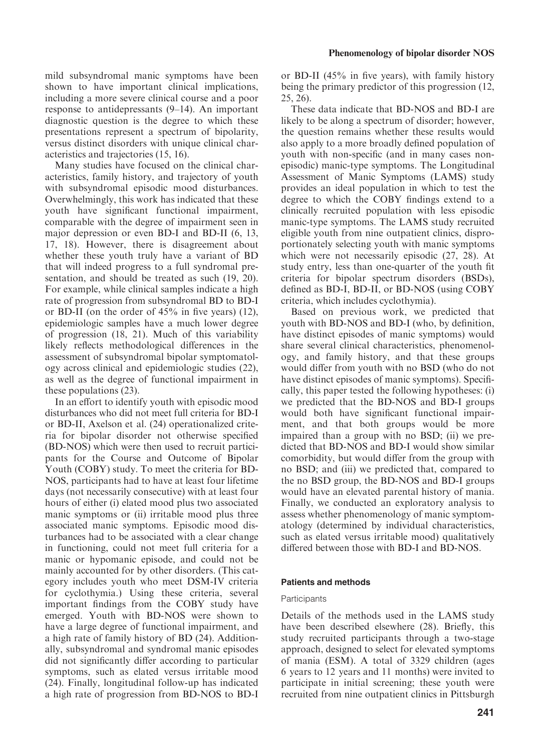mild subsyndromal manic symptoms have been shown to have important clinical implications, including a more severe clinical course and a poor response to antidepressants (9–14). An important diagnostic question is the degree to which these presentations represent a spectrum of bipolarity, versus distinct disorders with unique clinical characteristics and trajectories (15, 16).

Many studies have focused on the clinical characteristics, family history, and trajectory of youth with subsyndromal episodic mood disturbances. Overwhelmingly, this work has indicated that these youth have significant functional impairment, comparable with the degree of impairment seen in major depression or even BD-I and BD-II (6, 13, 17, 18). However, there is disagreement about whether these youth truly have a variant of BD that will indeed progress to a full syndromal presentation, and should be treated as such (19, 20). For example, while clinical samples indicate a high rate of progression from subsyndromal BD to BD-I or BD-II (on the order of 45% in five years) (12), epidemiologic samples have a much lower degree of progression (18, 21). Much of this variability likely reflects methodological differences in the assessment of subsyndromal bipolar symptomatology across clinical and epidemiologic studies (22), as well as the degree of functional impairment in these populations (23).

In an effort to identify youth with episodic mood disturbances who did not meet full criteria for BD-I or BD-II, Axelson et al. (24) operationalized criteria for bipolar disorder not otherwise specified (BD-NOS) which were then used to recruit participants for the Course and Outcome of Bipolar Youth (COBY) study. To meet the criteria for BD-NOS, participants had to have at least four lifetime days (not necessarily consecutive) with at least four hours of either (i) elated mood plus two associated manic symptoms or (ii) irritable mood plus three associated manic symptoms. Episodic mood disturbances had to be associated with a clear change in functioning, could not meet full criteria for a manic or hypomanic episode, and could not be mainly accounted for by other disorders. (This category includes youth who meet DSM-IV criteria for cyclothymia.) Using these criteria, several important findings from the COBY study have emerged. Youth with BD-NOS were shown to have a large degree of functional impairment, and a high rate of family history of BD (24). Additionally, subsyndromal and syndromal manic episodes did not significantly differ according to particular symptoms, such as elated versus irritable mood (24). Finally, longitudinal follow-up has indicated a high rate of progression from BD-NOS to BD-I

or BD-II (45% in five years), with family history being the primary predictor of this progression (12, 25, 26).

These data indicate that BD-NOS and BD-I are likely to be along a spectrum of disorder; however, the question remains whether these results would also apply to a more broadly defined population of youth with non-specific (and in many cases nonepisodic) manic-type symptoms. The Longitudinal Assessment of Manic Symptoms (LAMS) study provides an ideal population in which to test the degree to which the COBY findings extend to a clinically recruited population with less episodic manic-type symptoms. The LAMS study recruited eligible youth from nine outpatient clinics, disproportionately selecting youth with manic symptoms which were not necessarily episodic (27, 28). At study entry, less than one-quarter of the youth fit criteria for bipolar spectrum disorders (BSDs), defined as BD-I, BD-II, or BD-NOS (using COBY criteria, which includes cyclothymia).

Based on previous work, we predicted that youth with BD-NOS and BD-I (who, by definition, have distinct episodes of manic symptoms) would share several clinical characteristics, phenomenology, and family history, and that these groups would differ from youth with no BSD (who do not have distinct episodes of manic symptoms). Specifically, this paper tested the following hypotheses: (i) we predicted that the BD-NOS and BD-I groups would both have significant functional impairment, and that both groups would be more impaired than a group with no BSD; (ii) we predicted that BD-NOS and BD-I would show similar comorbidity, but would differ from the group with no BSD; and (iii) we predicted that, compared to the no BSD group, the BD-NOS and BD-I groups would have an elevated parental history of mania. Finally, we conducted an exploratory analysis to assess whether phenomenology of manic symptomatology (determined by individual characteristics, such as elated versus irritable mood) qualitatively differed between those with BD-I and BD-NOS.

# Patients and methods

# **Participants**

Details of the methods used in the LAMS study have been described elsewhere (28). Briefly, this study recruited participants through a two-stage approach, designed to select for elevated symptoms of mania (ESM). A total of 3329 children (ages 6 years to 12 years and 11 months) were invited to participate in initial screening; these youth were recruited from nine outpatient clinics in Pittsburgh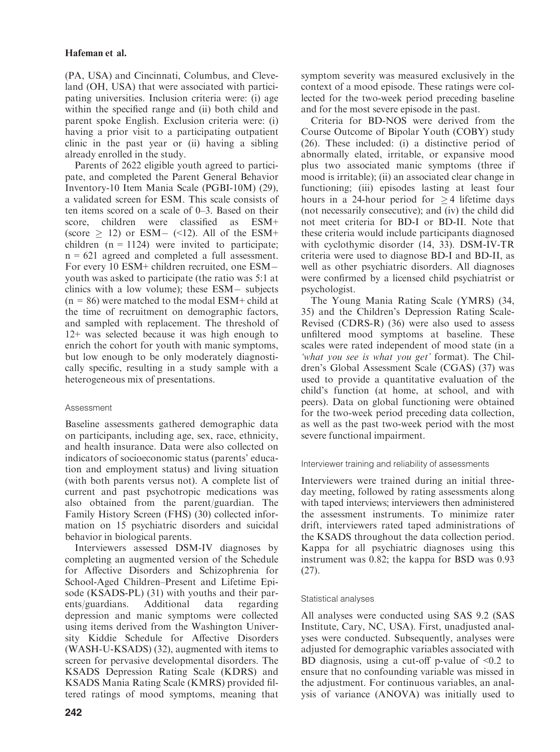(PA, USA) and Cincinnati, Columbus, and Cleveland (OH, USA) that were associated with participating universities. Inclusion criteria were: (i) age within the specified range and (ii) both child and parent spoke English. Exclusion criteria were: (i) having a prior visit to a participating outpatient clinic in the past year or (ii) having a sibling already enrolled in the study.

Parents of 2622 eligible youth agreed to participate, and completed the Parent General Behavior Inventory-10 Item Mania Scale (PGBI-10M) (29), a validated screen for ESM. This scale consists of ten items scored on a scale of 0–3. Based on their score, children were classified as ESM+ (score  $> 12$ ) or ESM – (<12). All of the ESM+ children  $(n = 1124)$  were invited to participate; n = 621 agreed and completed a full assessment. For every 10 ESM+ children recruited, one ESM youth was asked to participate (the ratio was 5:1 at clinics with a low volume); these  $ESM -$  subjects  $(n = 86)$  were matched to the modal ESM+ child at the time of recruitment on demographic factors, and sampled with replacement. The threshold of 12+ was selected because it was high enough to enrich the cohort for youth with manic symptoms, but low enough to be only moderately diagnostically specific, resulting in a study sample with a heterogeneous mix of presentations.

# Assessment

Baseline assessments gathered demographic data on participants, including age, sex, race, ethnicity, and health insurance. Data were also collected on indicators of socioeconomic status (parents' education and employment status) and living situation (with both parents versus not). A complete list of current and past psychotropic medications was also obtained from the parent/guardian. The Family History Screen (FHS) (30) collected information on 15 psychiatric disorders and suicidal behavior in biological parents.

Interviewers assessed DSM-IV diagnoses by completing an augmented version of the Schedule for Affective Disorders and Schizophrenia for School-Aged Children–Present and Lifetime Episode (KSADS-PL) (31) with youths and their parents/guardians. Additional data regarding depression and manic symptoms were collected using items derived from the Washington University Kiddie Schedule for Affective Disorders (WASH-U-KSADS) (32), augmented with items to screen for pervasive developmental disorders. The KSADS Depression Rating Scale (KDRS) and KSADS Mania Rating Scale (KMRS) provided filtered ratings of mood symptoms, meaning that symptom severity was measured exclusively in the context of a mood episode. These ratings were collected for the two-week period preceding baseline and for the most severe episode in the past.

Criteria for BD-NOS were derived from the Course Outcome of Bipolar Youth (COBY) study (26). These included: (i) a distinctive period of abnormally elated, irritable, or expansive mood plus two associated manic symptoms (three if mood is irritable); (ii) an associated clear change in functioning; (iii) episodes lasting at least four hours in a 24-hour period for  $\geq$  4 lifetime days (not necessarily consecutive); and (iv) the child did not meet criteria for BD-I or BD-II. Note that these criteria would include participants diagnosed with cyclothymic disorder (14, 33). DSM-IV-TR criteria were used to diagnose BD-I and BD-II, as well as other psychiatric disorders. All diagnoses were confirmed by a licensed child psychiatrist or psychologist.

The Young Mania Rating Scale (YMRS) (34, 35) and the Children's Depression Rating Scale-Revised (CDRS-R) (36) were also used to assess unfiltered mood symptoms at baseline. These scales were rated independent of mood state (in a 'what you see is what you get' format). The Children's Global Assessment Scale (CGAS) (37) was used to provide a quantitative evaluation of the child's function (at home, at school, and with peers). Data on global functioning were obtained for the two-week period preceding data collection, as well as the past two-week period with the most severe functional impairment.

# Interviewer training and reliability of assessments

Interviewers were trained during an initial threeday meeting, followed by rating assessments along with taped interviews; interviewers then administered the assessment instruments. To minimize rater drift, interviewers rated taped administrations of the KSADS throughout the data collection period. Kappa for all psychiatric diagnoses using this instrument was 0.82; the kappa for BSD was 0.93 (27).

# Statistical analyses

All analyses were conducted using SAS 9.2 (SAS Institute, Cary, NC, USA). First, unadjusted analyses were conducted. Subsequently, analyses were adjusted for demographic variables associated with BD diagnosis, using a cut-off p-value of  $\leq 0.2$  to ensure that no confounding variable was missed in the adjustment. For continuous variables, an analysis of variance (ANOVA) was initially used to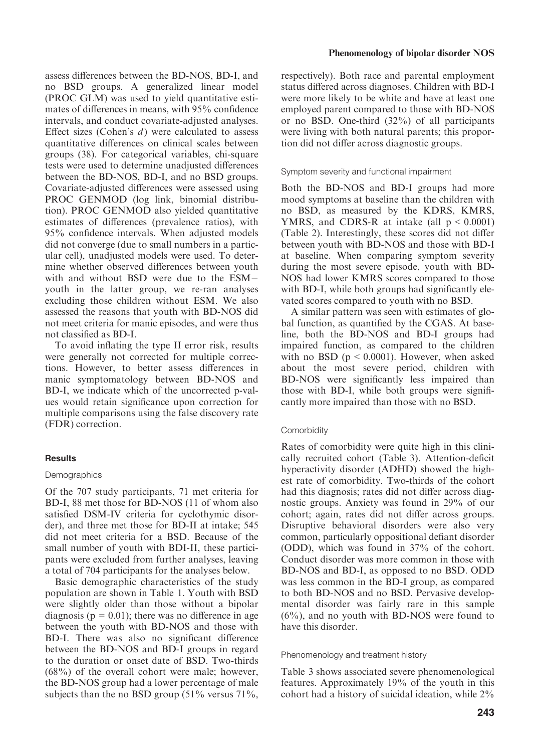assess differences between the BD-NOS, BD-I, and no BSD groups. A generalized linear model (PROC GLM) was used to yield quantitative estimates of differences in means, with 95% confidence intervals, and conduct covariate-adjusted analyses. Effect sizes (Cohen's  $d$ ) were calculated to assess quantitative differences on clinical scales between groups (38). For categorical variables, chi-square tests were used to determine unadjusted differences between the BD-NOS, BD-I, and no BSD groups. Covariate-adjusted differences were assessed using PROC GENMOD (log link, binomial distribution). PROC GENMOD also yielded quantitative estimates of differences (prevalence ratios), with 95% confidence intervals. When adjusted models did not converge (due to small numbers in a particular cell), unadjusted models were used. To determine whether observed differences between youth with and without BSD were due to the ESM youth in the latter group, we re-ran analyses excluding those children without ESM. We also assessed the reasons that youth with BD-NOS did not meet criteria for manic episodes, and were thus not classified as BD-I.

To avoid inflating the type II error risk, results were generally not corrected for multiple corrections. However, to better assess differences in manic symptomatology between BD-NOS and BD-I, we indicate which of the uncorrected p-values would retain significance upon correction for multiple comparisons using the false discovery rate (FDR) correction.

# **Results**

# **Demographics**

Of the 707 study participants, 71 met criteria for BD-I, 88 met those for BD-NOS (11 of whom also satisfied DSM-IV criteria for cyclothymic disorder), and three met those for BD-II at intake; 545 did not meet criteria for a BSD. Because of the small number of youth with BDI-II, these participants were excluded from further analyses, leaving a total of 704 participants for the analyses below.

Basic demographic characteristics of the study population are shown in Table 1. Youth with BSD were slightly older than those without a bipolar diagnosis ( $p = 0.01$ ); there was no difference in age between the youth with BD-NOS and those with BD-I. There was also no significant difference between the BD-NOS and BD-I groups in regard to the duration or onset date of BSD. Two-thirds (68%) of the overall cohort were male; however, the BD-NOS group had a lower percentage of male subjects than the no BSD group  $(51\%$  versus  $71\%$ , respectively). Both race and parental employment status differed across diagnoses. Children with BD-I were more likely to be white and have at least one employed parent compared to those with BD-NOS or no BSD. One-third (32%) of all participants were living with both natural parents; this proportion did not differ across diagnostic groups.

# Symptom severity and functional impairment

Both the BD-NOS and BD-I groups had more mood symptoms at baseline than the children with no BSD, as measured by the KDRS, KMRS, YMRS, and CDRS-R at intake (all  $p < 0.0001$ ) (Table 2). Interestingly, these scores did not differ between youth with BD-NOS and those with BD-I at baseline. When comparing symptom severity during the most severe episode, youth with BD-NOS had lower KMRS scores compared to those with BD-I, while both groups had significantly elevated scores compared to youth with no BSD.

A similar pattern was seen with estimates of global function, as quantified by the CGAS. At baseline, both the BD-NOS and BD-I groups had impaired function, as compared to the children with no BSD ( $p < 0.0001$ ). However, when asked about the most severe period, children with BD-NOS were significantly less impaired than those with BD-I, while both groups were significantly more impaired than those with no BSD.

# **Comorbidity**

Rates of comorbidity were quite high in this clinically recruited cohort (Table 3). Attention-deficit hyperactivity disorder (ADHD) showed the highest rate of comorbidity. Two-thirds of the cohort had this diagnosis; rates did not differ across diagnostic groups. Anxiety was found in 29% of our cohort; again, rates did not differ across groups. Disruptive behavioral disorders were also very common, particularly oppositional defiant disorder (ODD), which was found in 37% of the cohort. Conduct disorder was more common in those with BD-NOS and BD-I, as opposed to no BSD. ODD was less common in the BD-I group, as compared to both BD-NOS and no BSD. Pervasive developmental disorder was fairly rare in this sample  $(6\%)$ , and no youth with BD-NOS were found to have this disorder.

# Phenomenology and treatment history

Table 3 shows associated severe phenomenological features. Approximately 19% of the youth in this cohort had a history of suicidal ideation, while 2%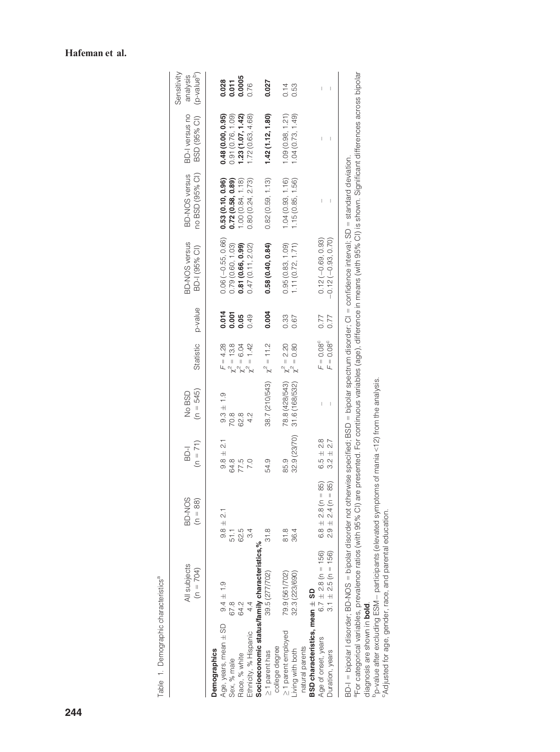| All subjects<br>$(1 - 704)$ | BD-NOS<br>$(n = 88)$                            | $(n = 71)$<br>BD-I                                           | $(n = 545)$<br>No BSD | Statistic          | p-value                                                                                                                      | <b>BD-NOS versus</b><br>BD-I (95% CI) | no BSD (95% Cl)<br><b>BD-NOS versus</b> | BD-I versus no<br>BSD (95% CI) | Sensitivity<br>(p-value <sup>b</sup> )<br>analysis                                                                                                                                                                                                                                                                                                                                    |
|-----------------------------|-------------------------------------------------|--------------------------------------------------------------|-----------------------|--------------------|------------------------------------------------------------------------------------------------------------------------------|---------------------------------------|-----------------------------------------|--------------------------------|---------------------------------------------------------------------------------------------------------------------------------------------------------------------------------------------------------------------------------------------------------------------------------------------------------------------------------------------------------------------------------------|
|                             |                                                 |                                                              |                       |                    |                                                                                                                              |                                       |                                         |                                |                                                                                                                                                                                                                                                                                                                                                                                       |
| 67.8                        | 51.1                                            | 64.8                                                         | 70.8                  |                    | 0.001                                                                                                                        | 0.79(0.60, 1.03)                      | 0.72(0.58, 0.89)                        | 0.91 (0.76, 1.09)              | 0.028<br>0.011                                                                                                                                                                                                                                                                                                                                                                        |
| 64.2                        | 62.5                                            | 77.5                                                         | 62.8                  |                    | 0.05                                                                                                                         | 0.81 (0.66, 0.99)                     | 1.00(0.84, 1.18)                        | 1.23(1.07, 1.42)               | 0.0005                                                                                                                                                                                                                                                                                                                                                                                |
| 4.4                         | 3.4                                             |                                                              |                       |                    | 0.49                                                                                                                         | 0.47(0.11, 2.02)                      | 0.80(0.24, 2.73)                        | 1.72(0.63, 4.68)               | 0.76                                                                                                                                                                                                                                                                                                                                                                                  |
|                             |                                                 |                                                              |                       |                    |                                                                                                                              |                                       |                                         |                                |                                                                                                                                                                                                                                                                                                                                                                                       |
| 39.5 (277/702)              | 31.8                                            | 54.9                                                         | 38.7 (210/543)        |                    | 0.004                                                                                                                        | 0.58(0.40, 0.84)                      | 0.82(0.59, 1.13)                        | 1.42(1.12, 1.80)               | 0.027                                                                                                                                                                                                                                                                                                                                                                                 |
|                             |                                                 |                                                              |                       |                    |                                                                                                                              |                                       |                                         |                                |                                                                                                                                                                                                                                                                                                                                                                                       |
| 79.9 (561/702)              | 81.8                                            | 85.9                                                         | 78.8 (428/543)        |                    | 0.33                                                                                                                         | 0.95(0.83, 1.09)                      | 1.04 (0.93, 1.16)                       | 1.09(0.98, 1.21)               | 0.14                                                                                                                                                                                                                                                                                                                                                                                  |
| 32.3 (223/690)              | 36.4                                            | 32.9 (23/70)                                                 | 31.6 (168/532)        |                    | 0.67                                                                                                                         | 1.11(0.72, 1.71)                      | 1.15 (0.85, 1.56)                       | 1.04(0.73, 1.49)               | 0.53                                                                                                                                                                                                                                                                                                                                                                                  |
|                             |                                                 |                                                              |                       |                    |                                                                                                                              |                                       |                                         |                                |                                                                                                                                                                                                                                                                                                                                                                                       |
|                             |                                                 |                                                              |                       |                    |                                                                                                                              |                                       |                                         |                                |                                                                                                                                                                                                                                                                                                                                                                                       |
| $6.7 \pm 2.8$ (n = 156)     | 85)<br>$6.8 \pm 2.8$ (n =                       | $6.5 + 2.8$                                                  | I                     | $F = 0.08^{\circ}$ | 0.77                                                                                                                         | $0.12(-0.69, 0.93)$                   |                                         | I                              | I                                                                                                                                                                                                                                                                                                                                                                                     |
| $3.1 \pm 2.5$ (n = 156)     | 65)<br>$2.9 \pm 2.4$ (n =                       | $3.2 + 2.7$                                                  |                       | $F = 0.08^{\circ}$ | 0.77                                                                                                                         | $-0.12(-0.93, 0.70)$                  |                                         |                                |                                                                                                                                                                                                                                                                                                                                                                                       |
|                             |                                                 |                                                              |                       |                    |                                                                                                                              |                                       |                                         |                                |                                                                                                                                                                                                                                                                                                                                                                                       |
| Age, years, mean $\pm$ SD   | $9.4 \pm 1.9$<br>BSD characteristics, mean ± SD | $9.8 + 2.1$<br>Socioeconomic status/family characteristics,% | $9.8 + 2.1$           | $9.3 \pm 1.9$      | $F = 4.28$<br>$\chi^2 = 11.2$<br>$\chi^2 = 2.20$<br>$\chi^2 = 13.8$<br>$\chi^2 = 6.04$<br>$\chi^2 = 1.42$<br>$\chi^2 = 0.80$ | 0.014                                 | $0.06(-0.55, 0.66)$                     | 0.53 (0.10, 0.96)              | For categorical variables, prevalence ratios (with 95% CI) are presented. For continuous variables (age), difference in means (with 95% CI) is shown. Significant differences across bipolar<br>0.48(0.00, 0.95)<br>BD-I = bipolar I disorder; BD-NOS = bipolar disorder not otherwise specified; BSD = bipolar spectrum disorder; CI = confidence interval; SD = standard deviation. |

# diagnosis are shown in **bold.**<br>b<sub>p</sub>∨alue after excluding ESM – participants (elevated symptoms of mania <12) from the analysis.<br><sup>b</sup>Adjusted for age, gender, race, and parental education. diagnosis are shown in bold.

 $b_{\text{p-value}}$  after excluding ESM – participants (elevated symptoms of mania <12) from the analysis.

cAdjusted for age, gender, race, and parental education.

# Hafeman et al.

Table 1. Demographic characteristics<sup>a</sup>

Table 1. Demographic characteristics<sup>a</sup>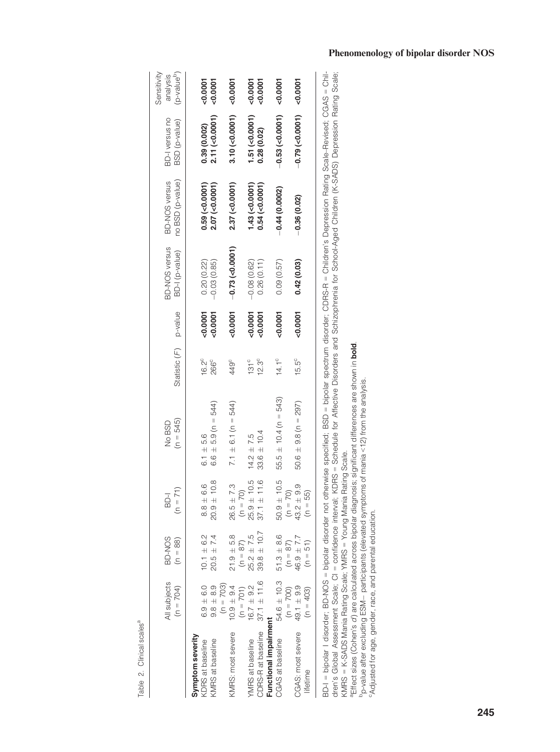|                                                                   | BD-NOS<br>$(n = 88)$       | $(n = 7)$<br>BD-I                      | $(n = 545)$<br>No BSD     | Statistic (F) p-value |           | <b>BD-NOS versus</b><br>BD-I (p-value) | no BSD (p-value)<br><b>BD-NOS versus</b> | BD-I versus no<br>BSD (p-value) | Sensitivity<br>(p-value <sup>b</sup> )<br>analysis |
|-------------------------------------------------------------------|----------------------------|----------------------------------------|---------------------------|-----------------------|-----------|----------------------------------------|------------------------------------------|---------------------------------|----------------------------------------------------|
| $6.9 + 6.0$<br>Symptom severity<br>KDRS at baseline               | $10.1 + 6.2$               | $8.8 + 6.6$                            | $6.1 + 5.6$               | $16.2^{\circ}$        | $-0.0001$ | 0.20(0.22)                             | $0.59$ (<0.0001)                         | 0.39(0.002)                     | $-0.0001$                                          |
| $9.8 + 8.9$<br>KMRS at baseline                                   | $20.5 \pm 7.4$             | $20.9 \pm 10.8$                        | $6.6 \pm 5.9$ (n = 544)   | 266°                  | 0.0001    | $-0.03(0.85)$                          | $2.07$ (<0.0001)                         | $2.11 (-0.0001)$                | $-0.0001$                                          |
| $(n = 703)$<br>$10.9 \pm 9.4$<br>$(n = 701)$<br>KMRS: most severe | $21.9 + 5.8$<br>$(n = 87)$ | <u>က</u><br>$26.5 \pm 7$<br>$(1) = 70$ | 7.1 $\pm$ 6.1 (n = 544)   | 449 <sup>c</sup>      | 0.0001    | $-0.73$ (<0.0001)                      | $2.37$ (<0.0001)                         | $3.10(-0.0001)$                 | 0.0001                                             |
| $16.7 \pm 9.2$<br>YMRS at baseline                                | $25.2 \pm 7.5$             | $25.9 \pm 10.5$                        | $14.2 \pm 7.5$            | $131^{\circ}$         | $-0.0001$ | $-0.08(0.62)$                          | $1.43$ (<0.0001)                         | $1.51$ (<0.0001)                | 50001                                              |
| $37.1 \pm 11.6$<br>CDRS-Ratbaseline                               | $39.8 \pm 10.7$            | $37.1 \pm 1$                           | $33.6 \pm 10.4$           | $12.3^\circ$          | 0.0001    | 0.26(0.11)                             | $0.54$ (< $0.0001$ )                     | 0.28(0.02)                      | $-0.0001$                                          |
| <b>Functional impairment</b>                                      |                            |                                        |                           |                       |           |                                        |                                          |                                 |                                                    |
| $54.6 \pm 10.3$<br>CGAS at baseline                               | $51.3 \pm 8.6$             | $50.9 \pm 10.5$                        | $55.5 \pm 10.4$ (n = 543) | $14.1^{\circ}$        | $-0.0001$ | 0.09(0.57)                             | $-0.44(0.0002)$                          | $-0.53$ (<0.0001)               | 0.0001                                             |
| $(n = 700)$                                                       | $(n = 87)$                 | $m = 70$                               |                           |                       |           |                                        |                                          |                                 |                                                    |
| $49.1 \pm 9.9$<br>CGAS: most severe                               | 46.9 $\pm$ 7.7             | $43.2 \pm 9.9$                         | $50.6 \pm 9.8$ (n = 297)  | 15.5°                 | $-0.0001$ | 0.42(0.03)                             | $-0.36(0.02)$                            | $-0.79$ (<0.0001)               | 0.0001                                             |
| $(n = 403)$<br>lifetime                                           | $(n = 51)$                 | $(n = 55)$                             |                           |                       |           |                                        |                                          |                                 |                                                    |

Table 2. Clinical scales<sup>a</sup>

Table 2. Clinical scales<sup>a</sup>

dren's Global Assessment Scale; CI = confidence interval; KDRS = Schedule for Affective Disorders and Schizophrenia for School-Aged Children (K-SADS) Depression Rating Scale;

KMRS = K-SADS Mania Rating Scale; YMRS = Young Mania Rating Scale.<br>『Effect sizes (Cohen's d) are calculated across bipolar diagnosis; significa d) are calculated across bipolar diagnosis; significant differences are shown in bold.

 $-$  participants (elevated symptoms of mania  $\lt$ 12) from the analysis.

bp-value after excluding ESM cAdjusted for age, gender, race, and parental education.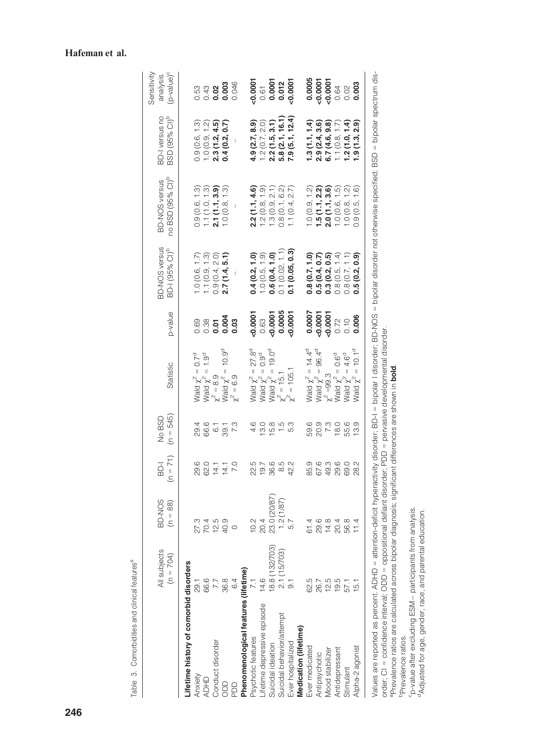|                                                                                                                                                                                                                                                                                                                                                                                                                                                               | All subjects<br>$(n = 704)$ | BD-NOS<br>$(n = 88)$ | $(n = 71)$<br>BD-I | $(n = 545)$<br>No BSD        | Statistic                                       | p-value | <b>BD-NOS versus</b><br>BD-1 (95% CI) <sup>b</sup>                                 | no BSD (95% CI) <sup>b</sup><br><b>BD-NOS versus</b>                              | BSD (95% CI) <sup>b</sup><br>BD-I versus no                          | p-value) <sup>c</sup><br>Sensitivity<br>analysis |
|---------------------------------------------------------------------------------------------------------------------------------------------------------------------------------------------------------------------------------------------------------------------------------------------------------------------------------------------------------------------------------------------------------------------------------------------------------------|-----------------------------|----------------------|--------------------|------------------------------|-------------------------------------------------|---------|------------------------------------------------------------------------------------|-----------------------------------------------------------------------------------|----------------------------------------------------------------------|--------------------------------------------------|
| Lifetime history of comorbid disorders                                                                                                                                                                                                                                                                                                                                                                                                                        |                             |                      |                    |                              |                                                 |         |                                                                                    |                                                                                   |                                                                      |                                                  |
| Anxiety                                                                                                                                                                                                                                                                                                                                                                                                                                                       | 29.1                        | 27.3                 | 29.6               |                              |                                                 | 0.69    | 1.0(0.6, 1.7)                                                                      |                                                                                   | 0.9(0.6, 1.3)                                                        | 0.53                                             |
| <b>ADHD</b>                                                                                                                                                                                                                                                                                                                                                                                                                                                   | 66.6                        | 70.4                 | 62.0               | 2011<br>2012<br>2012<br>2012 | Wald $\chi^2 = 0.7^d$<br>Wald $\chi^2 = 1.9^d$  | 0.38    | $1.1(0.9, 1.3)$<br>0.9 $(0.4, 2.0)$                                                | $0.9(0.6, 1.3)$<br>1.1(1.0, 1.3)<br>2.1(1.1, 3.9)                                 | $1.0(0.9, 1.2)$<br>2.3 (1.2, 4.5)                                    |                                                  |
| Conduct disorder                                                                                                                                                                                                                                                                                                                                                                                                                                              | 7.7                         | 12.5                 | 14.1               |                              | $\chi^2 = 8.9$                                  | 0.01    |                                                                                    |                                                                                   |                                                                      | $0.43$<br>0.02                                   |
| ODD                                                                                                                                                                                                                                                                                                                                                                                                                                                           | 36.8                        | 40.9                 | 14.1               |                              | Wald $\chi^2 = 10.9^d$                          | 0.004   | 2.7(1.4, 5.1)                                                                      | 1.0(0.8, 1.3)                                                                     | 0.4(0.2, 0.7)                                                        | 0.003                                            |
| <b>PDD</b>                                                                                                                                                                                                                                                                                                                                                                                                                                                    | 6.4                         |                      | 7.0                |                              | $\chi^2 = 6.9$                                  | 0.03    |                                                                                    |                                                                                   |                                                                      | 0.046                                            |
| Phenomenological features (lifetime)                                                                                                                                                                                                                                                                                                                                                                                                                          |                             |                      |                    |                              |                                                 |         |                                                                                    |                                                                                   |                                                                      |                                                  |
| Psychotic features                                                                                                                                                                                                                                                                                                                                                                                                                                            |                             | 10.2                 |                    | 4.6                          |                                                 | 0.0007  |                                                                                    | 2.2(1.1, 4.6)                                                                     | 4.9(2.7, 8.9)                                                        | 0.0007                                           |
| lifetime depressive episode                                                                                                                                                                                                                                                                                                                                                                                                                                   | 14.6                        | 20.4                 | 22.5<br>19.7       | 13.0                         | Wald $\chi^2 = 27.8^d$<br>Wald $\chi^2 = 0.9^d$ | 0.63    |                                                                                    |                                                                                   |                                                                      | 0.61                                             |
| Suicidal ideation                                                                                                                                                                                                                                                                                                                                                                                                                                             | 8.8 (132/703)               | 23.0 (20/87)         | 36.6               | 15.8                         | Wald $\tilde{\chi}^2 = 19.0^d$                  | 0.0007  | $0.4(0.2, 1.0)$<br>$1.0(0.5, 1.9)$<br>$0.6(0.4, 1.0)$                              |                                                                                   |                                                                      | 0.0001                                           |
| Suicidal behavior/attempt                                                                                                                                                                                                                                                                                                                                                                                                                                     | 2.1 (15/703)                | 1.2(1/87)            | 8.5                | $\frac{5}{1}$                | $\chi^2 = 15.1$<br>$\chi^2 = 105.1$             | 0.0005  | 0.1(0.02, 1.1)                                                                     | $\begin{array}{c} 1.2 (0.8, 1.9) \\ 1.3 (0.9, 2.1) \\ 0.8 (0.1, 6.2) \end{array}$ | $1.2(0.7, 2.0)$<br>$2.2(1.5, 3.1)$<br>$5.8(2.1, 16.1)$               | 0.012                                            |
| Ever hospitalized                                                                                                                                                                                                                                                                                                                                                                                                                                             |                             |                      | 42.2               | က္<br>ம்                     |                                                 | 50.0007 | 0.1(0.05, 0.3)                                                                     | 2.7)<br>1.1(0.4,                                                                  | 7.9(5.1, 12.4)                                                       | $-0.000$                                         |
| Medication (lifetime)                                                                                                                                                                                                                                                                                                                                                                                                                                         |                             |                      |                    |                              |                                                 |         |                                                                                    |                                                                                   |                                                                      |                                                  |
| Ever medicated                                                                                                                                                                                                                                                                                                                                                                                                                                                | 62.5                        | 61.4                 | 85.9               | 59.6                         | Wald $\chi^2 = 14.4^d$                          | 0.0007  | 0.8(0.7, 1.0)                                                                      | 1.0(0.9, 1.2)                                                                     | 1.3(1.1, 1.4)                                                        | 0.0005                                           |
| Antipsychotic                                                                                                                                                                                                                                                                                                                                                                                                                                                 | 26.7                        | 29.6                 | 67.6               | 20.9                         | Wald $\chi^2 = 96.4^d$<br>$\chi^2 = 99.3$       | 0.0007  |                                                                                    |                                                                                   |                                                                      | $-0.0001$                                        |
| Mood stabilizer                                                                                                                                                                                                                                                                                                                                                                                                                                               | 12.5                        | 14.8                 | 49.3               | 7.3                          |                                                 | 50.0007 |                                                                                    |                                                                                   |                                                                      | 0.0007                                           |
| Antidepressant                                                                                                                                                                                                                                                                                                                                                                                                                                                | 19.5                        | 20.4                 | 29.6               | 18.0<br>55.6                 | Wald $\chi^2 = 0.6^d$<br>Wald $\chi^2 = 4.6^d$  | 0.72    | <b>0.5 (0.4, 0.7)</b><br><b>0.3 (0.2, 0.5)</b><br>0.8 (0.5, 1.4)<br>0.8 (0.7, 1.1) | 1.5 (1.1, 2.2)<br>2.0 (1.1, 3.6)<br>1.0 (0.6, 1.5)                                | 2.9 (2.4, 3.6)<br>6.7 (4.6, 9.8)<br>1.1 (0.8, 1.7)<br>1.2 (1.0, 1.4) | 0.64                                             |
| Stimulant                                                                                                                                                                                                                                                                                                                                                                                                                                                     | 57.1                        | 56.8                 | 69.0               |                              |                                                 | 0.10    |                                                                                    | 1.0(0.8, 1.2)                                                                     |                                                                      | 0.02                                             |
| Alpha-2 agonist                                                                                                                                                                                                                                                                                                                                                                                                                                               | 15.1                        | 11.4                 | 28.2               | 13.9                         | Wald $\chi^2 = 10.1^d$                          | 0.006   | <u>ອິ</u><br>0.5(0.2,                                                              | 0.9(0.5, 1.6)                                                                     | 1.9(1.3, 2.9)                                                        | 0.003                                            |
| Values are reported as percent. ADHD = attention-deficit hyperactivity disorder; BD-I = bipolar disorder, BDDNar disorder not otherwise specified; BSD = bipolar spectrum dis-<br>order; Cl = confidence interval; ODD = oppositional defiant disorder; PDD = pervasive developmental disorder<br><sup>a</sup> Prevalence ratios are calculated across bipolar diagnosis; significant differences are shown in <b>bold</b><br><sup>b</sup> Prevalence ratios. |                             |                      |                    |                              |                                                 |         |                                                                                    |                                                                                   |                                                                      |                                                  |

cp-value after excluding ESM

<sup>b</sup>Prevalence ratios.<br><sup>c</sup>p-value after excluding ESM- participants from analysis.<br><sup>d</sup>Adjusted for age, gender, race, and parental education.

<sup>d</sup>Adjusted for age, gender, race, and parental education.

participants from analysis.

# Hafeman et al.

Table 3. Comorbidities and clinical features<sup>a</sup>

Table 3. Comorbidities and clinical features<sup>a</sup>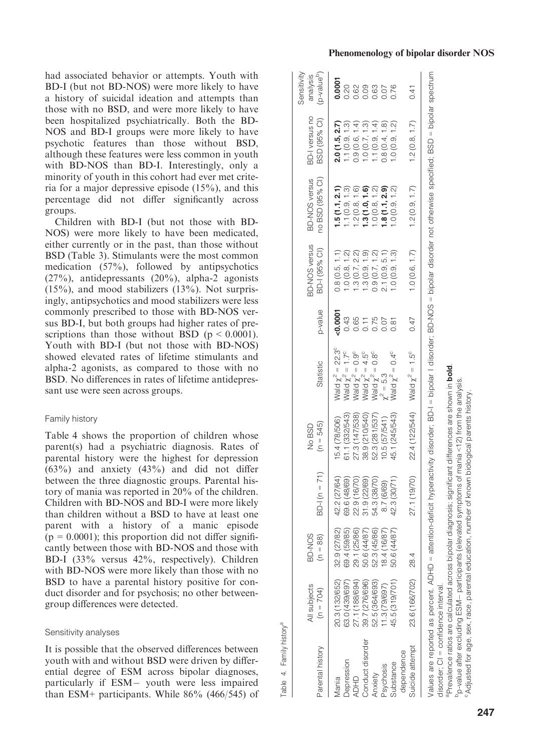had associated behavior or attempts. Youth with BD-I (but not BD-NOS) were more likely to have a history of suicidal ideation and attempts than those with no BSD, and were more likely to have been hospitalized psychiatrically. Both the BD-NOS and BD-I groups were more likely to have psychotic features than those without BSD, although these features were less common in youth with BD-NOS than BD-I. Interestingly, only a minority of youth in this cohort had ever met criteria for a major depressive episode (15%), and this percentage did not differ significantly across groups.

Children with BD-I (but not those with BD-NOS) were more likely to have been medicated, either currently or in the past, than those without BSD (Table 3). Stimulants were the most common medication (57%), followed by antipsychotics  $(27\%)$ , antidepressants  $(20\%)$ , alpha-2 agonists  $(15\%)$ , and mood stabilizers  $(13\%)$ . Not surprisingly, antipsychotics and mood stabilizers were less commonly prescribed to those with BD-NOS versus BD-I, but both groups had higher rates of prescriptions than those without BSD ( $p < 0.0001$ ). Youth with BD-I (but not those with BD-NOS) showed elevated rates of lifetime stimulants and alpha-2 agonists, as compared to those with no BSD. No differences in rates of lifetime antidepressant use were seen across groups.

# Family history

Table 4 shows the proportion of children whose parent(s) had a psychiatric diagnosis. Rates of parental history were the highest for depression (63%) and anxiety (43%) and did not differ between the three diagnostic groups. Parental history of mania was reported in 20% of the children. Children with BD-NOS and BD-I were more likely than children without a BSD to have at least one parent with a history of a manic episode  $(p = 0.0001)$ ; this proportion did not differ significantly between those with BD-NOS and those with BD-I (33% versus 42%, respectively). Children with BD-NOS were more likely than those with no BSD to have a parental history positive for conduct disorder and for psychosis; no other betweengroup differences were detected.

# Sensitivity analyses

It is possible that the observed differences between youth with and without BSD were driven by differential degree of ESM across bipolar diagnoses, particularly if ESM- youth were less impaired than ESM+ participants. While 86% (466/545) of Table 4. Family historya

 $\overline{4}$ Table

Family history<sup>a</sup>

| Phenomenology of bipolar disorder NOS |  |  |  |  |
|---------------------------------------|--|--|--|--|
|---------------------------------------|--|--|--|--|

| Wald $\chi^2 = 22.3^{\circ}$<br>15.4 (78/506) |                                     |               |               | (p-value <sup>b</sup> ) |
|-----------------------------------------------|-------------------------------------|---------------|---------------|-------------------------|
|                                               | 0.8(0.5, 1.1)<br>0.0001             | 1.5(1.1, 2.1) | 2.0(1.5, 2.7) | <b>000T</b>             |
| Wald $\chi^2 = 1.7^{\circ}$<br>61.1 (332/543) | 1.0(0.8, 1.2)<br>0.43               | 1.1(0.9, 1.3) | 1.1(0.9, 1.3) | 20                      |
| Wald $\chi^2 = 0.9^{\circ}$<br>27.3 (147/538) | 1.3(0.7, 2.2)<br>0.65               | .2(0.8, 1.6)  | 0.9(0.6, 1.4) | 0.62                    |
| Wald $\chi^2 = 4.5^\circ$<br>38.9 (210/540)   | 1.3(0.9, 1.9)<br>$\overline{11}$    | 1.3(1.0, 1.6) | 1.0(0.7, 1.3) |                         |
| Wald $\chi^2 = 0.8^{\circ}$                   | 0.9(0.7, 1.2)                       | 1.0(0.8, 1.2) |               | 885                     |
| $r^2 = 5.3$<br>0.5(57/541)                    | 2.1(0.9, 5.1)                       | 1.8(1.1, 2.9) | 0.8(0.4, 1.8) |                         |
| Wald $\chi^2 = 0.4^{\circ}$<br>15.1 (245/543) | 1.0(0.9, 1.3)<br>$\overline{0}$ .81 | 1.0(0.9, 1.2) | .0(0.9, 1.2)  | 0.76                    |
| Wald $\chi^2 = 1.5^{\circ}$<br>22.4 (122/544) | 1.0(0.6, 1.7)<br>0.47               | 1.2(0.9, 1.7) | 1.2(0.8, 1.7) | 0.41                    |
| 52.3 (281/537)                                | 0.75                                |               |               | 1.1(0.9, 1.4)           |

disorder; CI = confidence interval.<br><sup>a</sup>Prevalence ratios are calculated across bipolar diagnosis; significant differences are shown in **bold**<br><sup>b</sup>p-value after excluding ESM- participants (elevated symptoms of mania <12) fr Prevalence ratios are calculated across bipolar diagnosis; significant differences are shown in bold.

°p-value after excluding ESM- participants (elevated symptoms of mania <12) from the analysis.<br>°Adjusted for age, sex, race, parental education, number of known biological parents history. participants (elevated symptoms of mania <12) from the analysis.

cAdjusted for age, sex, race, parental education, number of known biological parents history.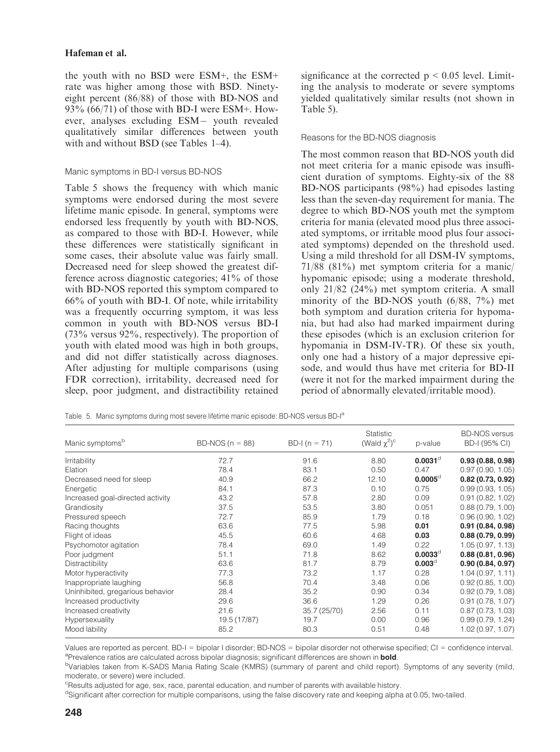the youth with no BSD were ESM+, the ESM+ rate was higher among those with BSD. Ninetyeight percent (86/88) of those with BD-NOS and 93% (66/71) of those with BD-I were ESM+. However, analyses excluding ESM- youth revealed qualitatively similar differences between youth with and without BSD (see Tables 1–4).

# Manic symptoms in BD-I versus BD-NOS

Table 5 shows the frequency with which manic symptoms were endorsed during the most severe lifetime manic episode. In general, symptoms were endorsed less frequently by youth with BD-NOS, as compared to those with BD-I. However, while these differences were statistically significant in some cases, their absolute value was fairly small. Decreased need for sleep showed the greatest difference across diagnostic categories; 41% of those with BD-NOS reported this symptom compared to 66% of youth with BD-I. Of note, while irritability was a frequently occurring symptom, it was less common in youth with BD-NOS versus BD-I (73% versus 92%, respectively). The proportion of youth with elated mood was high in both groups, and did not differ statistically across diagnoses. After adjusting for multiple comparisons (using FDR correction), irritability, decreased need for sleep, poor judgment, and distractibility retained significance at the corrected  $p < 0.05$  level. Limiting the analysis to moderate or severe symptoms yielded qualitatively similar results (not shown in Table 5).

# Reasons for the BD-NOS diagnosis

The most common reason that BD-NOS youth did not meet criteria for a manic episode was insufficient duration of symptoms. Eighty-six of the 88 BD-NOS participants (98%) had episodes lasting less than the seven-day requirement for mania. The degree to which BD-NOS youth met the symptom criteria for mania (elevated mood plus three associated symptoms, or irritable mood plus four associated symptoms) depended on the threshold used. Using a mild threshold for all DSM-IV symptoms, 71/88 (81%) met symptom criteria for a manic/ hypomanic episode; using a moderate threshold, only 21/82 (24%) met symptom criteria. A small minority of the BD-NOS youth (6/88, 7%) met both symptom and duration criteria for hypomania, but had also had marked impairment during these episodes (which is an exclusion criterion for hypomania in DSM-IV-TR). Of these six youth, only one had a history of a major depressive episode, and would thus have met criteria for BD-II (were it not for the marked impairment during the period of abnormally elevated/irritable mood).

Table 5. Manic symptoms during most severe lifetime manic episode: BD-NOS versus BD-I<sup>a</sup>

| Manic symptoms <sup>b</sup>      | $BD-NOS(n = 88)$ | $BD-I (n = 71)$ | Statistic<br>(Wald $\chi^2$ ) <sup>c</sup> | p-value        | <b>BD-NOS versus</b><br>BD-I (95% CI) |
|----------------------------------|------------------|-----------------|--------------------------------------------|----------------|---------------------------------------|
| Irritability                     | 72.7             | 91.6            | 8.80                                       | $0.0031^\circ$ | 0.93(0.88, 0.98)                      |
| Elation                          | 78.4             | 83.1            | 0.50                                       | 0.47           | 0.97(0.90, 1.05)                      |
| Decreased need for sleep         | 40.9             | 66.2            | 12.10                                      | $0.0005^\circ$ | 0.82(0.73, 0.92)                      |
| Energetic                        | 84.1             | 87.3            | 0.10                                       | 0.75           | 0.99(0.93, 1.05)                      |
| Increased goal-directed activity | 43.2             | 57.8            | 2.80                                       | 0.09           | 0.91(0.82, 1.02)                      |
| Grandiosity                      | 37.5             | 53.5            | 3.80                                       | 0.051          | 0.88(0.79, 1.00)                      |
| Pressured speech                 | 72.7             | 85.9            | 1.79                                       | 0.18           | 0.96(0.90, 1.02)                      |
| Racing thoughts                  | 63.6             | 77.5            | 5.98                                       | 0.01           | 0.91(0.84, 0.98)                      |
| Flight of ideas                  | 45.5             | 60.6            | 4.68                                       | 0.03           | 0.88(0.79, 0.99)                      |
| Psychomotor agitation            | 78.4             | 69.0            | 1.49                                       | 0.22           | 1.05(0.97, 1.13)                      |
| Poor judgment                    | 51.1             | 71.8            | 8.62                                       | $0.0033^\circ$ | 0.88(0.81, 0.96)                      |
| Distractibility                  | 63.6             | 81.7            | 8.79                                       | $0.003^\circ$  | 0.90(0.84, 0.97)                      |
| Motor hyperactivity              | 77.3             | 73.2            | 1.17                                       | 0.28           | 1.04(0.97, 1.11)                      |
| Inappropriate laughing           | 56.8             | 70.4            | 3.48                                       | 0.06           | 0.92(0.85, 1.00)                      |
| Uninhibited, gregarious behavior | 28.4             | 35.2            | 0.90                                       | 0.34           | 0.92(0.79, 1.08)                      |
| Increased productivity           | 29.6             | 36.6            | 1.29                                       | 0.26           | 0.91(0.78, 1.07)                      |
| Increased creativity             | 21.6             | 35.7 (25/70)    | 2.56                                       | 0.11           | 0.87(0.73, 1.03)                      |
| Hypersexuality                   | 19.5 (17/87)     | 19.7            | 0.00                                       | 0.96           | 0.99(0.79, 1.24)                      |
| Mood lability                    | 85.2             | 80.3            | 0.51                                       | 0.48           | 1.02(0.97, 1.07)                      |

Values are reported as percent. BD-I = bipolar I disorder; BD-NOS = bipolar disorder not otherwise specified; CI = confidence interval. <sup>a</sup>Prevalence ratios are calculated across bipolar diagnosis; significant differences are shown in **bold**.

bVariables taken from K-SADS Mania Rating Scale (KMRS) (summary of parent and child report). Symptoms of any severity (mild, moderate, or severe) were included.

<sup>c</sup>Results adjusted for age, sex, race, parental education, and number of parents with available history.

dSignificant after correction for multiple comparisons, using the false discovery rate and keeping alpha at 0.05, two-tailed.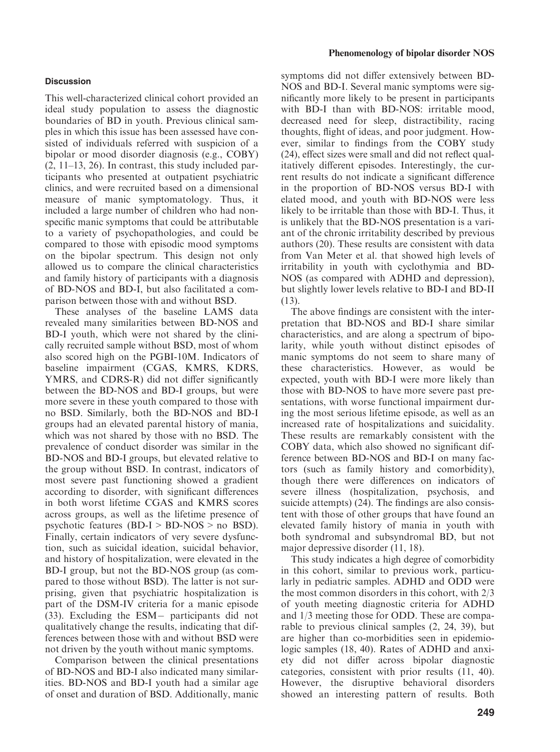# **Discussion**

This well-characterized clinical cohort provided an ideal study population to assess the diagnostic boundaries of BD in youth. Previous clinical samples in which this issue has been assessed have consisted of individuals referred with suspicion of a bipolar or mood disorder diagnosis (e.g., COBY)  $(2, 11-13, 26)$ . In contrast, this study included participants who presented at outpatient psychiatric clinics, and were recruited based on a dimensional measure of manic symptomatology. Thus, it included a large number of children who had nonspecific manic symptoms that could be attributable to a variety of psychopathologies, and could be compared to those with episodic mood symptoms on the bipolar spectrum. This design not only allowed us to compare the clinical characteristics and family history of participants with a diagnosis of BD-NOS and BD-I, but also facilitated a comparison between those with and without BSD.

These analyses of the baseline LAMS data revealed many similarities between BD-NOS and BD-I youth, which were not shared by the clinically recruited sample without BSD, most of whom also scored high on the PGBI-10M. Indicators of baseline impairment (CGAS, KMRS, KDRS, YMRS, and CDRS-R) did not differ significantly between the BD-NOS and BD-I groups, but were more severe in these youth compared to those with no BSD. Similarly, both the BD-NOS and BD-I groups had an elevated parental history of mania, which was not shared by those with no BSD. The prevalence of conduct disorder was similar in the BD-NOS and BD-I groups, but elevated relative to the group without BSD. In contrast, indicators of most severe past functioning showed a gradient according to disorder, with significant differences in both worst lifetime CGAS and KMRS scores across groups, as well as the lifetime presence of psychotic features (BD-I > BD-NOS > no BSD). Finally, certain indicators of very severe dysfunction, such as suicidal ideation, suicidal behavior, and history of hospitalization, were elevated in the BD-I group, but not the BD-NOS group (as compared to those without BSD). The latter is not surprising, given that psychiatric hospitalization is part of the DSM-IV criteria for a manic episode  $(33)$ . Excluding the ESM- participants did not qualitatively change the results, indicating that differences between those with and without BSD were not driven by the youth without manic symptoms.

Comparison between the clinical presentations of BD-NOS and BD-I also indicated many similarities. BD-NOS and BD-I youth had a similar age of onset and duration of BSD. Additionally, manic

symptoms did not differ extensively between BD-NOS and BD-I. Several manic symptoms were significantly more likely to be present in participants with BD-I than with BD-NOS: irritable mood, decreased need for sleep, distractibility, racing thoughts, flight of ideas, and poor judgment. However, similar to findings from the COBY study (24), effect sizes were small and did not reflect qualitatively different episodes. Interestingly, the current results do not indicate a significant difference in the proportion of BD-NOS versus BD-I with elated mood, and youth with BD-NOS were less likely to be irritable than those with BD-I. Thus, it is unlikely that the BD-NOS presentation is a variant of the chronic irritability described by previous authors (20). These results are consistent with data from Van Meter et al. that showed high levels of irritability in youth with cyclothymia and BD-NOS (as compared with ADHD and depression), but slightly lower levels relative to BD-I and BD-II (13).

The above findings are consistent with the interpretation that BD-NOS and BD-I share similar characteristics, and are along a spectrum of bipolarity, while youth without distinct episodes of manic symptoms do not seem to share many of these characteristics. However, as would be expected, youth with BD-I were more likely than those with BD-NOS to have more severe past presentations, with worse functional impairment during the most serious lifetime episode, as well as an increased rate of hospitalizations and suicidality. These results are remarkably consistent with the COBY data, which also showed no significant difference between BD-NOS and BD-I on many factors (such as family history and comorbidity), though there were differences on indicators of severe illness (hospitalization, psychosis, and suicide attempts) (24). The findings are also consistent with those of other groups that have found an elevated family history of mania in youth with both syndromal and subsyndromal BD, but not major depressive disorder (11, 18).

This study indicates a high degree of comorbidity in this cohort, similar to previous work, particularly in pediatric samples. ADHD and ODD were the most common disorders in this cohort, with 2/3 of youth meeting diagnostic criteria for ADHD and 1/3 meeting those for ODD. These are comparable to previous clinical samples (2, 24, 39), but are higher than co-morbidities seen in epidemiologic samples (18, 40). Rates of ADHD and anxiety did not differ across bipolar diagnostic categories, consistent with prior results (11, 40). However, the disruptive behavioral disorders showed an interesting pattern of results. Both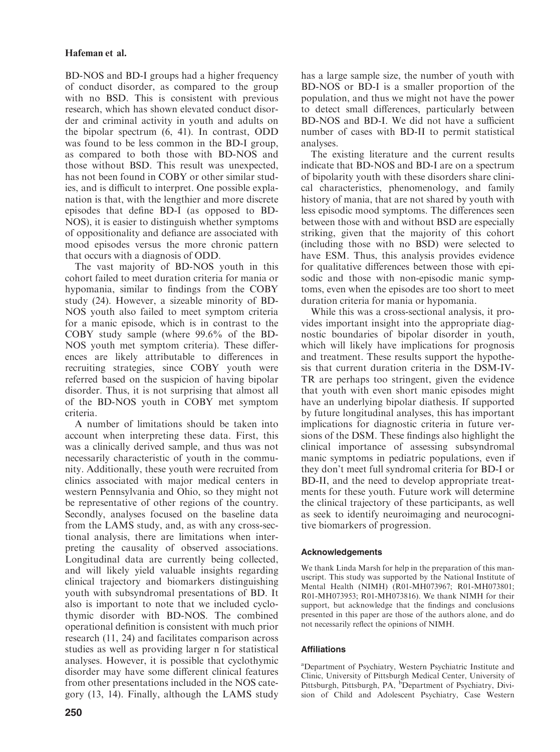BD-NOS and BD-I groups had a higher frequency of conduct disorder, as compared to the group with no BSD. This is consistent with previous research, which has shown elevated conduct disorder and criminal activity in youth and adults on the bipolar spectrum (6, 41). In contrast, ODD was found to be less common in the BD-I group, as compared to both those with BD-NOS and those without BSD. This result was unexpected, has not been found in COBY or other similar studies, and is difficult to interpret. One possible explanation is that, with the lengthier and more discrete episodes that define BD-I (as opposed to BD-NOS), it is easier to distinguish whether symptoms of oppositionality and defiance are associated with mood episodes versus the more chronic pattern that occurs with a diagnosis of ODD.

The vast majority of BD-NOS youth in this cohort failed to meet duration criteria for mania or hypomania, similar to findings from the COBY study (24). However, a sizeable minority of BD-NOS youth also failed to meet symptom criteria for a manic episode, which is in contrast to the COBY study sample (where 99.6% of the BD-NOS youth met symptom criteria). These differences are likely attributable to differences in recruiting strategies, since COBY youth were referred based on the suspicion of having bipolar disorder. Thus, it is not surprising that almost all of the BD-NOS youth in COBY met symptom criteria.

A number of limitations should be taken into account when interpreting these data. First, this was a clinically derived sample, and thus was not necessarily characteristic of youth in the community. Additionally, these youth were recruited from clinics associated with major medical centers in western Pennsylvania and Ohio, so they might not be representative of other regions of the country. Secondly, analyses focused on the baseline data from the LAMS study, and, as with any cross-sectional analysis, there are limitations when interpreting the causality of observed associations. Longitudinal data are currently being collected, and will likely yield valuable insights regarding clinical trajectory and biomarkers distinguishing youth with subsyndromal presentations of BD. It also is important to note that we included cyclothymic disorder with BD-NOS. The combined operational definition is consistent with much prior research (11, 24) and facilitates comparison across studies as well as providing larger n for statistical analyses. However, it is possible that cyclothymic disorder may have some different clinical features from other presentations included in the NOS category (13, 14). Finally, although the LAMS study has a large sample size, the number of youth with BD-NOS or BD-I is a smaller proportion of the population, and thus we might not have the power to detect small differences, particularly between BD-NOS and BD-I. We did not have a sufficient number of cases with BD-II to permit statistical analyses.

The existing literature and the current results indicate that BD-NOS and BD-I are on a spectrum of bipolarity youth with these disorders share clinical characteristics, phenomenology, and family history of mania, that are not shared by youth with less episodic mood symptoms. The differences seen between those with and without BSD are especially striking, given that the majority of this cohort (including those with no BSD) were selected to have ESM. Thus, this analysis provides evidence for qualitative differences between those with episodic and those with non-episodic manic symptoms, even when the episodes are too short to meet duration criteria for mania or hypomania.

While this was a cross-sectional analysis, it provides important insight into the appropriate diagnostic boundaries of bipolar disorder in youth, which will likely have implications for prognosis and treatment. These results support the hypothesis that current duration criteria in the DSM-IV-TR are perhaps too stringent, given the evidence that youth with even short manic episodes might have an underlying bipolar diathesis. If supported by future longitudinal analyses, this has important implications for diagnostic criteria in future versions of the DSM. These findings also highlight the clinical importance of assessing subsyndromal manic symptoms in pediatric populations, even if they don't meet full syndromal criteria for BD-I or BD-II, and the need to develop appropriate treatments for these youth. Future work will determine the clinical trajectory of these participants, as well as seek to identify neuroimaging and neurocognitive biomarkers of progression.

# Acknowledgements

We thank Linda Marsh for help in the preparation of this manuscript. This study was supported by the National Institute of Mental Health (NIMH) (R01-MH073967; R01-MH073801; R01-MH073953; R01-MH073816). We thank NIMH for their support, but acknowledge that the findings and conclusions presented in this paper are those of the authors alone, and do not necessarily reflect the opinions of NIMH.

# Affiliations

a Department of Psychiatry, Western Psychiatric Institute and Clinic, University of Pittsburgh Medical Center, University of Pittsburgh, Pittsburgh, PA, <sup>b</sup>Department of Psychiatry, Division of Child and Adolescent Psychiatry, Case Western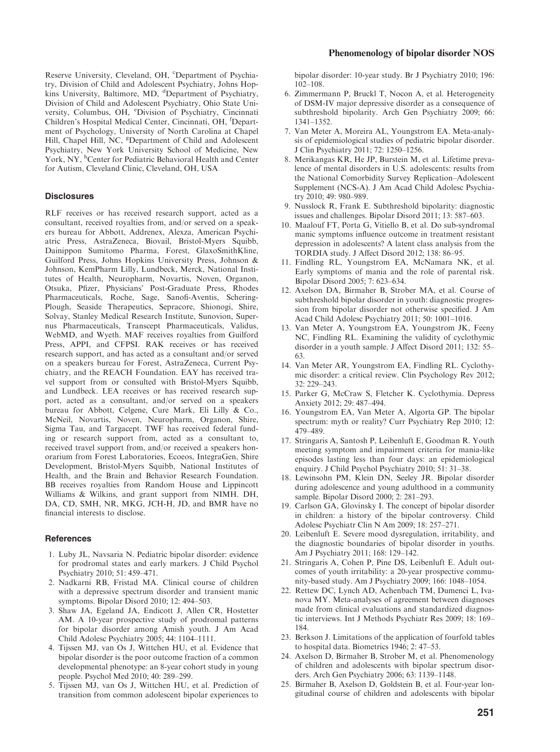Reserve University, Cleveland, OH, <sup>c</sup>Department of Psychiatry, Division of Child and Adolescent Psychiatry, Johns Hopkins University, Baltimore, MD, <sup>d</sup>Department of Psychiatry, Division of Child and Adolescent Psychiatry, Ohio State University, Columbus, OH, eDivision of Psychiatry, Cincinnati Children's Hospital Medical Center, Cincinnati, OH, <sup>f</sup> Department of Psychology, University of North Carolina at Chapel Hill, Chapel Hill, NC, <sup>g</sup>Department of Child and Adolescent Psychiatry, New York University School of Medicine, New York, NY, <sup>h</sup>Center for Pediatric Behavioral Health and Center for Autism, Cleveland Clinic, Cleveland, OH, USA

### **Disclosures**

RLF receives or has received research support, acted as a consultant, received royalties from, and/or served on a speakers bureau for Abbott, Addrenex, Alexza, American Psychiatric Press, AstraZeneca, Biovail, Bristol-Myers Squibb, Dainippon Sumitomo Pharma, Forest, GlaxoSmithKline, Guilford Press, Johns Hopkins University Press, Johnson & Johnson, KemPharm Lilly, Lundbeck, Merck, National Institutes of Health, Neuropharm, Novartis, Noven, Organon, Otsuka, Pfizer, Physicians' Post-Graduate Press, Rhodes Pharmaceuticals, Roche, Sage, Sanofi-Aventis, Schering-Plough, Seaside Therapeutics, Sepracore, Shionogi, Shire, Solvay, Stanley Medical Research Institute, Sunovion, Supernus Pharmaceuticals, Transcept Pharmaceuticals, Validus, WebMD, and Wyeth. MAF receives royalties from Guilford Press, APPI, and CFPSI. RAK receives or has received research support, and has acted as a consultant and/or served on a speakers bureau for Forest, AstraZeneca, Current Psychiatry, and the REACH Foundation. EAY has received travel support from or consulted with Bristol-Myers Squibb, and Lundbeck. LEA receives or has received research support, acted as a consultant, and/or served on a speakers bureau for Abbott, Celgene, Cure Mark, Eli Lilly & Co., McNeil, Novartis, Noven, Neuropharm, Organon, Shire, Sigma Tau, and Targacept. TWF has received federal funding or research support from, acted as a consultant to, received travel support from, and/or received a speakers honorarium from Forest Laboratories, Ecoeos, IntegraGen, Shire Development, Bristol-Myers Squibb, National Institutes of Health, and the Brain and Behavior Research Foundation. BB receives royalties from Random House and Lippincott Williams & Wilkins, and grant support from NIMH. DH, DA, CD, SMH, NR, MKG, JCH-H, JD, and BMR have no financial interests to disclose.

### **References**

- 1. Luby JL, Navsaria N. Pediatric bipolar disorder: evidence for prodromal states and early markers. J Child Psychol Psychiatry 2010; 51: 459–471.
- 2. Nadkarni RB, Fristad MA. Clinical course of children with a depressive spectrum disorder and transient manic symptoms. Bipolar Disord 2010; 12: 494–503.
- 3. Shaw JA, Egeland JA, Endicott J, Allen CR, Hostetter AM. A 10-year prospective study of prodromal patterns for bipolar disorder among Amish youth. J Am Acad Child Adolesc Psychiatry 2005; 44: 1104–1111.
- 4. Tijssen MJ, van Os J, Wittchen HU, et al. Evidence that bipolar disorder is the poor outcome fraction of a common developmental phenotype: an 8-year cohort study in young people. Psychol Med 2010; 40: 289–299.
- 5. Tijssen MJ, van Os J, Wittchen HU, et al. Prediction of transition from common adolescent bipolar experiences to

bipolar disorder: 10-year study. Br J Psychiatry 2010; 196: 102–108.

- 6. Zimmermann P, Bruckl T, Nocon A, et al. Heterogeneity of DSM-IV major depressive disorder as a consequence of subthreshold bipolarity. Arch Gen Psychiatry 2009; 66: 1341–1352.
- 7. Van Meter A, Moreira AL, Youngstrom EA. Meta-analysis of epidemiological studies of pediatric bipolar disorder. J Clin Psychiatry 2011; 72: 1250–1256.
- 8. Merikangas KR, He JP, Burstein M, et al. Lifetime prevalence of mental disorders in U.S. adolescents: results from the National Comorbidity Survey Replication–Adolescent Supplement (NCS-A). J Am Acad Child Adolesc Psychiatry 2010; 49: 980–989.
- 9. Nusslock R, Frank E. Subthreshold bipolarity: diagnostic issues and challenges. Bipolar Disord 2011; 13: 587–603.
- 10. Maalouf FT, Porta G, Vitiello B, et al. Do sub-syndromal manic symptoms influence outcome in treatment resistant depression in adolescents? A latent class analysis from the TORDIA study. J Affect Disord 2012; 138: 86–95.
- 11. Findling RL, Youngstrom EA, McNamara NK, et al. Early symptoms of mania and the role of parental risk. Bipolar Disord 2005; 7: 623–634.
- 12. Axelson DA, Birmaher B, Strober MA, et al. Course of subthreshold bipolar disorder in youth: diagnostic progression from bipolar disorder not otherwise specified. J Am Acad Child Adolesc Psychiatry 2011; 50: 1001–1016.
- 13. Van Meter A, Youngstrom EA, Youngstrom JK, Feeny NC, Findling RL. Examining the validity of cyclothymic disorder in a youth sample. J Affect Disord 2011; 132: 55– 63.
- 14. Van Meter AR, Youngstrom EA, Findling RL. Cyclothymic disorder: a critical review. Clin Psychology Rev 2012; 32: 229–243.
- 15. Parker G, McCraw S, Fletcher K. Cyclothymia. Depress Anxiety 2012; 29: 487–494.
- 16. Youngstrom EA, Van Meter A, Algorta GP. The bipolar spectrum: myth or reality? Curr Psychiatry Rep 2010; 12: 479–489.
- 17. Stringaris A, Santosh P, Leibenluft E, Goodman R. Youth meeting symptom and impairment criteria for mania-like episodes lasting less than four days: an epidemiological enquiry. J Child Psychol Psychiatry 2010; 51: 31–38.
- 18. Lewinsohn PM, Klein DN, Seeley JR. Bipolar disorder during adolescence and young adulthood in a community sample. Bipolar Disord 2000; 2: 281–293.
- 19. Carlson GA, Glovinsky I. The concept of bipolar disorder in children: a history of the bipolar controversy. Child Adolesc Psychiatr Clin N Am 2009; 18: 257–271.
- 20. Leibenluft E. Severe mood dysregulation, irritability, and the diagnostic boundaries of bipolar disorder in youths. Am J Psychiatry 2011; 168: 129–142.
- 21. Stringaris A, Cohen P, Pine DS, Leibenluft E. Adult outcomes of youth irritability: a 20-year prospective community-based study. Am J Psychiatry 2009; 166: 1048–1054.
- 22. Rettew DC, Lynch AD, Achenbach TM, Dumenci L, Ivanova MY. Meta-analyses of agreement between diagnoses made from clinical evaluations and standardized diagnostic interviews. Int J Methods Psychiatr Res 2009; 18: 169– 184.
- 23. Berkson J. Limitations of the application of fourfold tables to hospital data. Biometrics 1946; 2: 47–53.
- 24. Axelson D, Birmaher B, Strober M, et al. Phenomenology of children and adolescents with bipolar spectrum disorders. Arch Gen Psychiatry 2006; 63: 1139–1148.
- 25. Birmaher B, Axelson D, Goldstein B, et al. Four-year longitudinal course of children and adolescents with bipolar